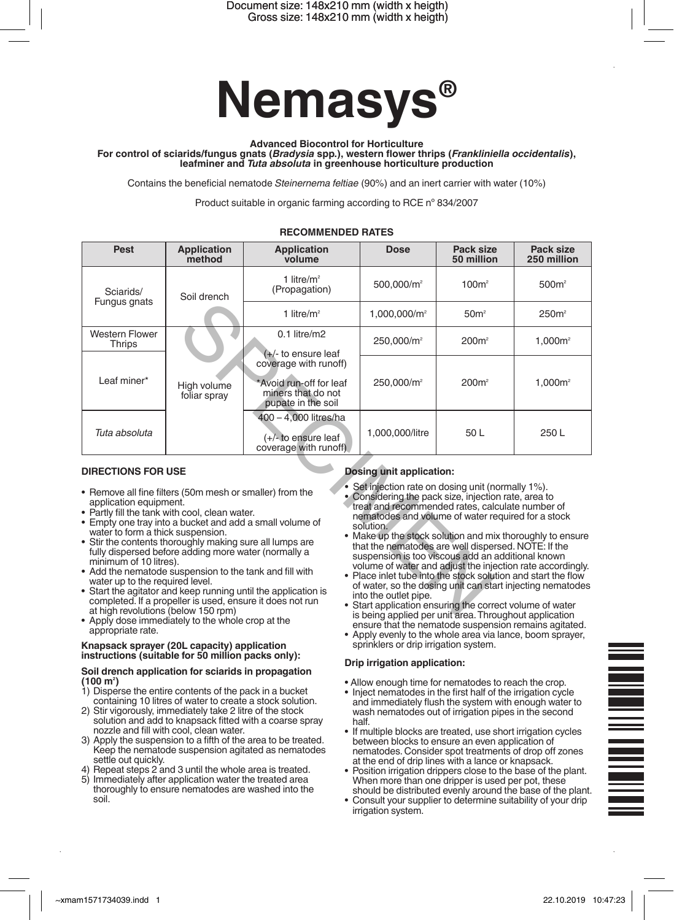

**Advanced Biocontrol for Horticulture**

For control of sciarids/fungus gnats (*Bradysia* spp.), western flower thrips (*Frankliniella occidentalis*),<br>leafminer and *Tuta absoluta* in greenhouse horticulture production

Contains the beneficial nematode *Steinernema feltiae* (90%) and an inert carrier with water (10%)

Product suitable in organic farming according to RCE nº 834/2007

| Pest                                                                                                                                                                                                                                                                                                                                                                                                                                                                                                                                                                                                                                                                                                                                                                                                                                                                                                                                                                                                                                                                                                                                                                                                                                                                                                                                                                                                                                                                          | <b>Application</b><br>method               | <b>Application</b><br>volume                                                                 | <b>Dose</b>              | Pack size<br>50 million | Pack size<br>250 million |
|-------------------------------------------------------------------------------------------------------------------------------------------------------------------------------------------------------------------------------------------------------------------------------------------------------------------------------------------------------------------------------------------------------------------------------------------------------------------------------------------------------------------------------------------------------------------------------------------------------------------------------------------------------------------------------------------------------------------------------------------------------------------------------------------------------------------------------------------------------------------------------------------------------------------------------------------------------------------------------------------------------------------------------------------------------------------------------------------------------------------------------------------------------------------------------------------------------------------------------------------------------------------------------------------------------------------------------------------------------------------------------------------------------------------------------------------------------------------------------|--------------------------------------------|----------------------------------------------------------------------------------------------|--------------------------|-------------------------|--------------------------|
| Sciarids/<br>Fungus gnats                                                                                                                                                                                                                                                                                                                                                                                                                                                                                                                                                                                                                                                                                                                                                                                                                                                                                                                                                                                                                                                                                                                                                                                                                                                                                                                                                                                                                                                     | Soil drench<br>High volume<br>foliar spray | 1 litre/ $m2$<br>(Propagation)                                                               | 500,000/m <sup>2</sup>   | 100m <sup>2</sup>       | 500m <sup>2</sup>        |
|                                                                                                                                                                                                                                                                                                                                                                                                                                                                                                                                                                                                                                                                                                                                                                                                                                                                                                                                                                                                                                                                                                                                                                                                                                                                                                                                                                                                                                                                               |                                            | 1 litre/ $m2$                                                                                | 1,000,000/m <sup>2</sup> | 50 <sup>m²</sup>        | 250m <sup>2</sup>        |
| <b>Western Flower</b><br>Thrips                                                                                                                                                                                                                                                                                                                                                                                                                                                                                                                                                                                                                                                                                                                                                                                                                                                                                                                                                                                                                                                                                                                                                                                                                                                                                                                                                                                                                                               |                                            | $0.1$ litre/m2<br>(+/- to ensure leaf                                                        | 250,000/m <sup>2</sup>   | 200m <sup>2</sup>       | $1,000m^2$               |
| Leaf miner*                                                                                                                                                                                                                                                                                                                                                                                                                                                                                                                                                                                                                                                                                                                                                                                                                                                                                                                                                                                                                                                                                                                                                                                                                                                                                                                                                                                                                                                                   |                                            | coverage with runoff)<br>*Avoid run-off for leaf<br>miners that do not<br>pupate in the soil | 250,000/m <sup>2</sup>   | 200m <sup>2</sup>       | $1,000m^2$               |
| Tuta absoluta                                                                                                                                                                                                                                                                                                                                                                                                                                                                                                                                                                                                                                                                                                                                                                                                                                                                                                                                                                                                                                                                                                                                                                                                                                                                                                                                                                                                                                                                 |                                            | 400 - 4,000 litres/ha<br>$(+/-)$ to ensure leaf<br>coverage with runoff)                     | 1,000,000/litre          | 50L                     | 250L                     |
| <b>DIRECTIONS FOR USE</b><br><b>Dosing unit application:</b><br>Set injection rate on dosing unit (normally 1%).<br>• Remove all fine filters (50m mesh or smaller) from the<br>Considering the pack size, injection rate, area to<br>application equipment.<br>treat and recommended rates, calculate number of<br>• Partly fill the tank with cool, clean water.<br>nematodes and volume of water required for a stock<br>• Empty one tray into a bucket and add a small volume of<br>solution.<br>water to form a thick suspension.<br>• Make up the stock solution and mix thoroughly to ensure<br>• Stir the contents thoroughly making sure all lumps are<br>that the nematodes are well dispersed. NOTE: If the<br>fully dispersed before adding more water (normally a<br>suspension is too viscous add an additional known<br>minimum of 10 litres).<br>volume of water and adjust the injection rate accordingly.<br>• Add the nematode suspension to the tank and fill with<br>• Place inlet tube into the stock solution and start the flow<br>water up to the required level.<br>of water, so the dosing unit can start injecting nematodes<br>• Start the agitator and keep running until the application is<br>into the outlet pipe.<br>completed. If a propeller is used, ensure it does not run<br>• Start application ensuring the correct volume of water<br>at high revolutions (below 150 rpm)<br>is being annlied ner unit area. Throughout annlication |                                            |                                                                                              |                          |                         |                          |

# **RECOMMENDED RATES**

## **DIRECTIONS FOR USE**

- Remove all fine filters (50m mesh or smaller) from the application equipment.
- Partly fill the tank with cool, clean water.
- Empty one tray into a bucket and add a small volume of water to form a thick suspension.<br>• Stir the contents thoroughly making sure all lumps are
- fully dispersed before adding more water (normally a minimum of 10 litres).
- Add the nematode suspension to the tank and fill with<br>water up to the required level.<br>• Start the agitator and keep running until the application is
- completed. If a propeller is used, ensure it does not running until the apply dose immediately to the whole crop at the <br>• Apply dose immediately to the whole crop at the
- appropriate rate.

### **Knapsack sprayer (20L capacity) application instructions (suitable for 50 million packs only):**

### **Soil drench application for sciarids in propagation (100 m2 )**

- 1) Disperse the entire contents of the pack in a bucket containing 10 litres of water to create a stock solution.
- 2) Stir vigorously, immediately take 2 litre of the stock solution and add to knapsack fitted with a coarse spray nozzle and fill with cool, clean water.
- 3) Apply the suspension to a fifth of the area to be treated. Keep the nematode suspension agitated as nematodes settle out quickly.
- 4) Repeat steps 2 and 3 until the whole area is treated.
- 5) Immediately after application water the treated area thoroughly to ensure nematodes are washed into the soil.

## **Dosing unit application:**

- 
- Set injection rate on dosing unit (normally 1%). • Considering the pack size, injection rate, area to treat and recommended rates, calculate number of nematodes and volume of water required for a stock solution.
- Make up the stock solution and mix thoroughly to ensure that the nematodes are well dispersed. NOTE: If the suspension is too viscous add an additional known volume of water and adjust the injection rate accordingly.
- Place inlet tube into the stock solution and start the flow of water, so the dosing unit can start injecting nematodes into the outlet pipe.
- Start application ensuring the correct volume of water is being applied per unit area.Throughout application ensure that the nematode suspension remains agitated.
- • Apply evenly to the whole area via lance, boom sprayer, sprinklers or drip irrigation system.

# **Drip irrigation application:**

- Allow enough time for nematodes to reach the crop.
- Inject nematodes in the first half of the irrigation cycle and immediately flush the system with enough water to wash nematodes out of irrigation pipes in the second half.
- If multiple blocks are treated, use short irrigation cycles between blocks to ensure an even application of<br>nematodes. Consider spot treatments of drop off zones at the end of drip lines with a lance or knapsack.
- Position irrigation drippers close to the base of the plant. When more than one dripper is used per pot, these should be distributed evenly around the base of the plant.
- Consult your supplier to determine suitability of your drip irrigation system.